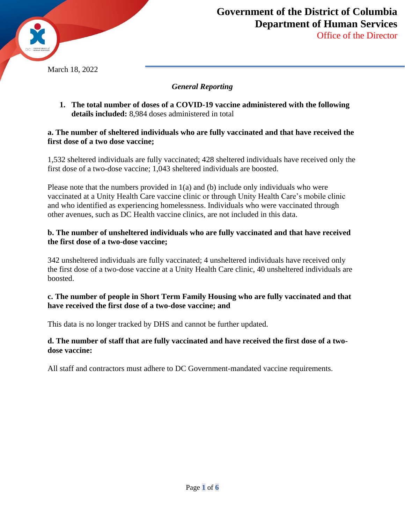

Office of the Director

## *General Reporting*

**1. The total number of doses of a COVID-19 vaccine administered with the following details included:** 8,984 doses administered in total

### **a. The number of sheltered individuals who are fully vaccinated and that have received the first dose of a two dose vaccine;**

1,532 sheltered individuals are fully vaccinated; 428 sheltered individuals have received only the first dose of a two-dose vaccine; 1,043 sheltered individuals are boosted.

Please note that the numbers provided in 1(a) and (b) include only individuals who were vaccinated at a Unity Health Care vaccine clinic or through Unity Health Care's mobile clinic and who identified as experiencing homelessness. Individuals who were vaccinated through other avenues, such as DC Health vaccine clinics, are not included in this data.

## **b. The number of unsheltered individuals who are fully vaccinated and that have received the first dose of a two-dose vaccine;**

342 unsheltered individuals are fully vaccinated; 4 unsheltered individuals have received only the first dose of a two-dose vaccine at a Unity Health Care clinic, 40 unsheltered individuals are boosted.

## **c. The number of people in Short Term Family Housing who are fully vaccinated and that have received the first dose of a two-dose vaccine; and**

This data is no longer tracked by DHS and cannot be further updated.

### **d. The number of staff that are fully vaccinated and have received the first dose of a twodose vaccine:**

All staff and contractors must adhere to DC Government-mandated vaccine requirements.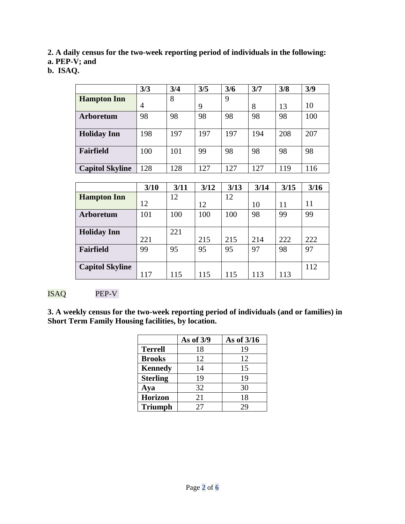**2. A daily census for the two-week reporting period of individuals in the following:** 

**a. PEP-V; and** 

**b. ISAQ.** 

|                        | 3/3 | 3/4 | 3/5 | 3/6 | 3/7 | 3/8 | 3/9 |
|------------------------|-----|-----|-----|-----|-----|-----|-----|
| <b>Hampton Inn</b>     |     | 8   |     | 9   |     |     |     |
|                        | 4   |     | 9   |     | 8   | 13  | 10  |
| <b>Arboretum</b>       | 98  | 98  | 98  | 98  | 98  | 98  | 100 |
| <b>Holiday Inn</b>     | 198 | 197 | 197 | 197 | 194 | 208 | 207 |
| Fairfield              | 100 | 101 | 99  | 98  | 98  | 98  | 98  |
| <b>Capitol Skyline</b> | 128 | 128 | 127 | 127 | 127 | 119 | 116 |
|                        |     |     |     |     |     |     |     |

|                        | 3/10 | 3/11 | 3/12 | 3/13 | 3/14 | 3/15 | 3/16 |
|------------------------|------|------|------|------|------|------|------|
| <b>Hampton Inn</b>     |      | 12   |      | 12   |      |      |      |
|                        | 12   |      | 12   |      | 10   | 11   | 11   |
| Arboretum              | 101  | 100  | 100  | 100  | 98   | 99   | 99   |
|                        |      |      |      |      |      |      |      |
| <b>Holiday Inn</b>     |      | 221  |      |      |      |      |      |
|                        | 221  |      | 215  | 215  | 214  | 222  | 222  |
| Fairfield              | 99   | 95   | 95   | 95   | 97   | 98   | 97   |
|                        |      |      |      |      |      |      |      |
| <b>Capitol Skyline</b> |      |      |      |      |      |      | 112  |
|                        | 117  | 115  | 115  | 115  | 113  | 113  |      |

# ISAQ PEP-V

**3. A weekly census for the two-week reporting period of individuals (and or families) in Short Term Family Housing facilities, by location.** 

|                 | As of 3/9 | As of 3/16 |
|-----------------|-----------|------------|
| <b>Terrell</b>  | 18        | 19         |
| <b>Brooks</b>   | 12        | 12         |
| <b>Kennedy</b>  | 14        | 15         |
| <b>Sterling</b> | 19        | 19         |
| Aya             | 32        | 30         |
| <b>Horizon</b>  | 21        | 18         |
| <b>Triumph</b>  | 27        | 29         |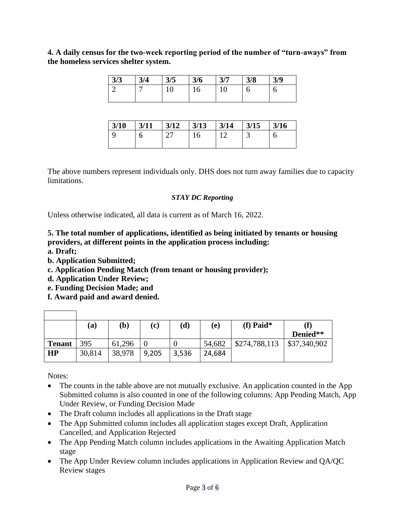**4. A daily census for the two-week reporting period of the number of "turn-aways" from the homeless services shelter system.** 

| 3/3 | 3/4 | 3/5 | 3/6 | 3/7 | 3/8 | 3/9 |
|-----|-----|-----|-----|-----|-----|-----|
|     |     | ⊥ ∪ | 10  | ⊥ ∪ | U   | J   |

| 3/10 | 3/11 | $3/12$ | 3/13 | $3/14$ | 3/15 | 3/16 |
|------|------|--------|------|--------|------|------|
|      | ь    |        |      |        |      |      |

The above numbers represent individuals only. DHS does not turn away families due to capacity limitations.

### *STAY DC Reporting*

Unless otherwise indicated, all data is current as of March 16, 2022.

# **5. The total number of applications, identified as being initiated by tenants or housing providers, at different points in the application process including:**

**a. Draft;** 

 $\overline{\phantom{a}}$ 

- **b. Application Submitted;**
- **c. Application Pending Match (from tenant or housing provider);**
- **d. Application Under Review;**
- **e. Funding Decision Made; and**
- **f. Award paid and award denied.**

|               | $({\bf a})$ | (b)    | (c)   | $\bf(d)$ | (e)    | (f) Paid $*$  |              |
|---------------|-------------|--------|-------|----------|--------|---------------|--------------|
|               |             |        |       |          |        |               | Denied**     |
| <b>Tenant</b> | 395         | 61,296 |       |          | 54,682 | \$274,788,113 | \$37,340,902 |
| HP            | 30,814      | 38,978 | 9,205 | 3,536    | 24,684 |               |              |

Notes:

 $\Gamma$ 

- The counts in the table above are not mutually exclusive. An application counted in the App Submitted column is also counted in one of the following columns: App Pending Match, App Under Review, or Funding Decision Made
- The Draft column includes all applications in the Draft stage
- The App Submitted column includes all application stages except Draft, Application Cancelled, and Application Rejected
- The App Pending Match column includes applications in the Awaiting Application Match stage
- The App Under Review column includes applications in Application Review and QA/QC Review stages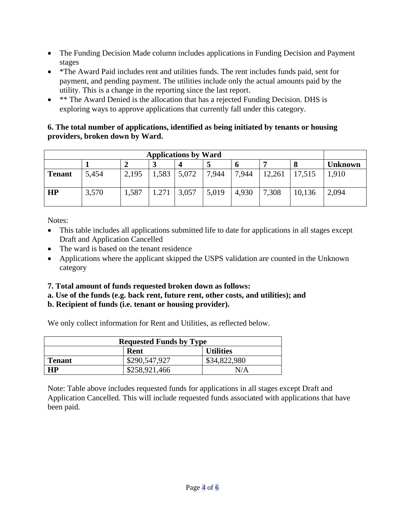- The Funding Decision Made column includes applications in Funding Decision and Payment stages
- \*The Award Paid includes rent and utilities funds. The rent includes funds paid, sent for payment, and pending payment. The utilities include only the actual amounts paid by the utility. This is a change in the reporting since the last report.
- \*\* The Award Denied is the allocation that has a rejected Funding Decision. DHS is exploring ways to approve applications that currently fall under this category.

# **6. The total number of applications, identified as being initiated by tenants or housing providers, broken down by Ward.**

| <b>Applications by Ward</b> |       |       |       |       |       |       |                |        |       |
|-----------------------------|-------|-------|-------|-------|-------|-------|----------------|--------|-------|
| ມ                           |       |       |       |       |       |       | <b>Unknown</b> |        |       |
| <b>Tenant</b>               | 5,454 | 2,195 | 1,583 | 5,072 | 7,944 | 7,944 | 12,261         | 17,515 | 1,910 |
| HP                          | 3,570 | 1,587 | 1.271 | 3,057 | 5,019 | 4,930 | 7,308          | 10,136 | 2,094 |

Notes:

- This table includes all applications submitted life to date for applications in all stages except Draft and Application Cancelled
- The ward is based on the tenant residence
- Applications where the applicant skipped the USPS validation are counted in the Unknown category

# **7. Total amount of funds requested broken down as follows:**

## **a. Use of the funds (e.g. back rent, future rent, other costs, and utilities); and b. Recipient of funds (i.e. tenant or housing provider).**

We only collect information for Rent and Utilities, as reflected below.

| <b>Requested Funds by Type</b> |               |              |  |  |  |
|--------------------------------|---------------|--------------|--|--|--|
| <b>Utilities</b><br>Rent       |               |              |  |  |  |
| Tenant                         | \$290,547,927 | \$34,822,980 |  |  |  |
| <b>HP</b>                      | N/A           |              |  |  |  |

Note: Table above includes requested funds for applications in all stages except Draft and Application Cancelled. This will include requested funds associated with applications that have been paid.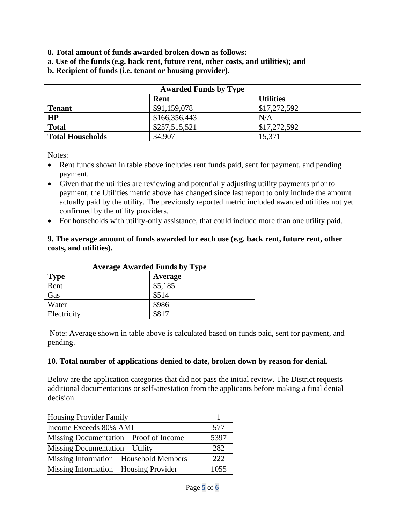- **8. Total amount of funds awarded broken down as follows:**
- **a. Use of the funds (e.g. back rent, future rent, other costs, and utilities); and**
- **b. Recipient of funds (i.e. tenant or housing provider).**

|                         | <b>Awarded Funds by Type</b> |                  |
|-------------------------|------------------------------|------------------|
|                         | Rent                         | <b>Utilities</b> |
| <b>Tenant</b>           | \$91,159,078                 | \$17,272,592     |
| HP                      | \$166,356,443                | N/A              |
| <b>Total</b>            | \$257,515,521                | \$17,272,592     |
| <b>Total Households</b> | 34,907                       | 15,371           |

Notes:

- Rent funds shown in table above includes rent funds paid, sent for payment, and pending payment.
- Given that the utilities are reviewing and potentially adjusting utility payments prior to payment, the Utilities metric above has changed since last report to only include the amount actually paid by the utility. The previously reported metric included awarded utilities not yet confirmed by the utility providers.
- For households with utility-only assistance, that could include more than one utility paid.

### **9. The average amount of funds awarded for each use (e.g. back rent, future rent, other costs, and utilities).**

| <b>Average Awarded Funds by Type</b> |         |  |  |  |
|--------------------------------------|---------|--|--|--|
| <b>Type</b>                          | Average |  |  |  |
| Rent                                 | \$5,185 |  |  |  |
| Gas                                  | \$514   |  |  |  |
| Water                                | \$986   |  |  |  |
| Electricity                          | \$817   |  |  |  |

Note: Average shown in table above is calculated based on funds paid, sent for payment, and pending.

### **10. Total number of applications denied to date, broken down by reason for denial.**

Below are the application categories that did not pass the initial review. The District requests additional documentations or self-attestation from the applicants before making a final denial decision.

| <b>Housing Provider Family</b>          |      |
|-----------------------------------------|------|
| Income Exceeds 80% AMI                  | 577  |
| Missing Documentation – Proof of Income | 5397 |
| Missing Documentation – Utility         | 282  |
| Missing Information – Household Members | 222  |
| Missing Information – Housing Provider  | 1055 |